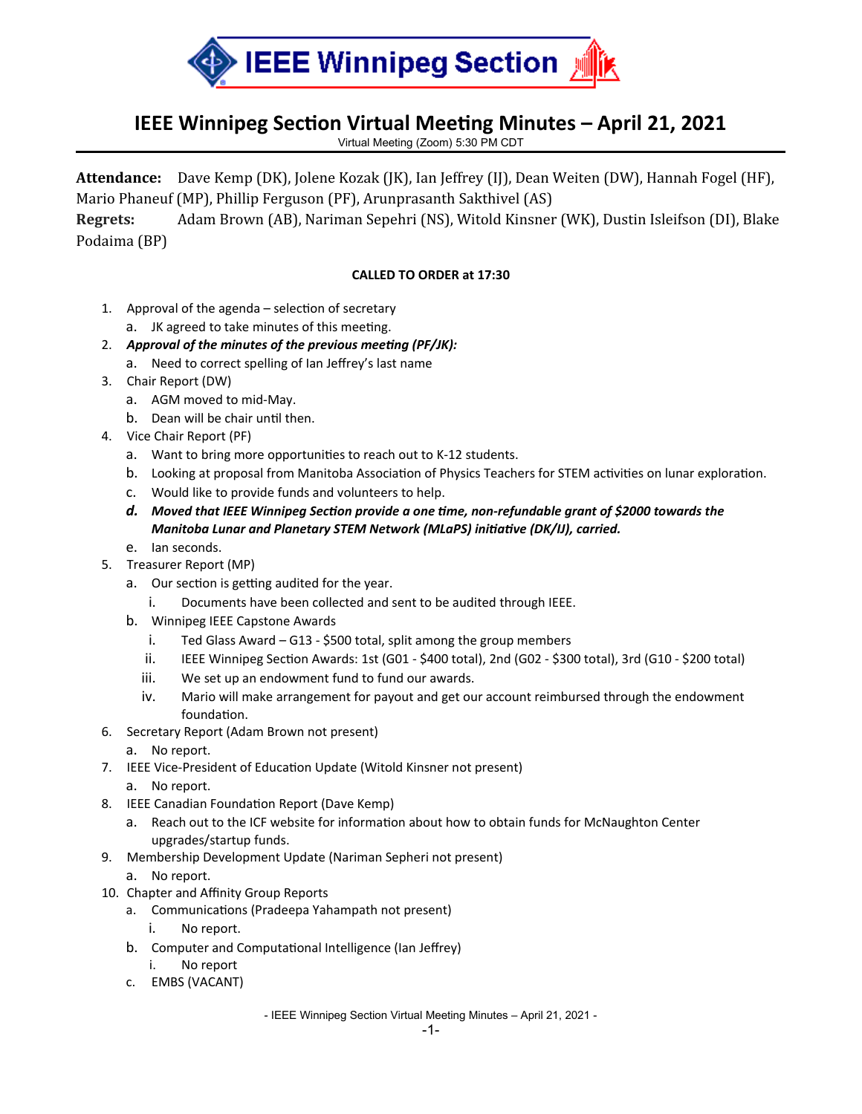

## **IEEE Winnipeg Section Virtual Meeting Minutes – April 21, 2021**

Virtual Meeting (Zoom) 5:30 PM CDT

**Attendance:** Dave Kemp (DK), Jolene Kozak (JK), Ian Jeffrey (IJ), Dean Weiten (DW), Hannah Fogel (HF), Mario Phaneuf (MP), Phillip Ferguson (PF), Arunprasanth Sakthivel (AS)

**Regrets:** Adam Brown (AB), Nariman Sepehri (NS), Witold Kinsner (WK), Dustin Isleifson (DI), Blake Podaima (BP)

## **CALLED TO ORDER at 17:30**

- 1. Approval of the agenda selection of secretary
	- a. JK agreed to take minutes of this meeting.
- 2. *Approval of the minutes of the previous meeting (PF/JK):*
	- a. Need to correct spelling of Ian Jeffrey's last name
- 3. Chair Report (DW)
	- a. AGM moved to mid-May.
	- b. Dean will be chair until then.
- 4. Vice Chair Report (PF)
	- a. Want to bring more opportunities to reach out to K-12 students.
	- b. Looking at proposal from Manitoba Association of Physics Teachers for STEM activities on lunar exploration.
	- c. Would like to provide funds and volunteers to help.
	- *d. Moved that IEEE Winnipeg Section provide a one time, non-refundable grant of \$2000 towards the Manitoba Lunar and Planetary STEM Network (MLaPS) initiative (DK/IJ), carried.*
	- e. Ian seconds.
- 5. Treasurer Report (MP)
	- a. Our section is getting audited for the year.
		- i. Documents have been collected and sent to be audited through IEEE.
	- b. Winnipeg IEEE Capstone Awards
		- i. Ted Glass Award G13 \$500 total, split among the group members
		- ii. IEEE Winnipeg Section Awards: 1st (G01 \$400 total), 2nd (G02 \$300 total), 3rd (G10 \$200 total)
		- iii. We set up an endowment fund to fund our awards.
		- iv. Mario will make arrangement for payout and get our account reimbursed through the endowment foundation.
- 6. Secretary Report (Adam Brown not present)
	- a. No report.
- 7. IEEE Vice-President of Education Update (Witold Kinsner not present)
	- a. No report.
- 8. IEEE Canadian Foundation Report (Dave Kemp)
	- a. Reach out to the ICF website for information about how to obtain funds for McNaughton Center upgrades/startup funds.
- 9. Membership Development Update (Nariman Sepheri not present)
	- a. No report.
- 10. Chapter and Affinity Group Reports
	- a. Communications (Pradeepa Yahampath not present)
		- i. No report.
	- b. Computer and Computational Intelligence (Ian Jeffrey)
		- i. No report
	- c. EMBS (VACANT)

- IEEE Winnipeg Section Virtual Meeting Minutes – April 21, 2021 -